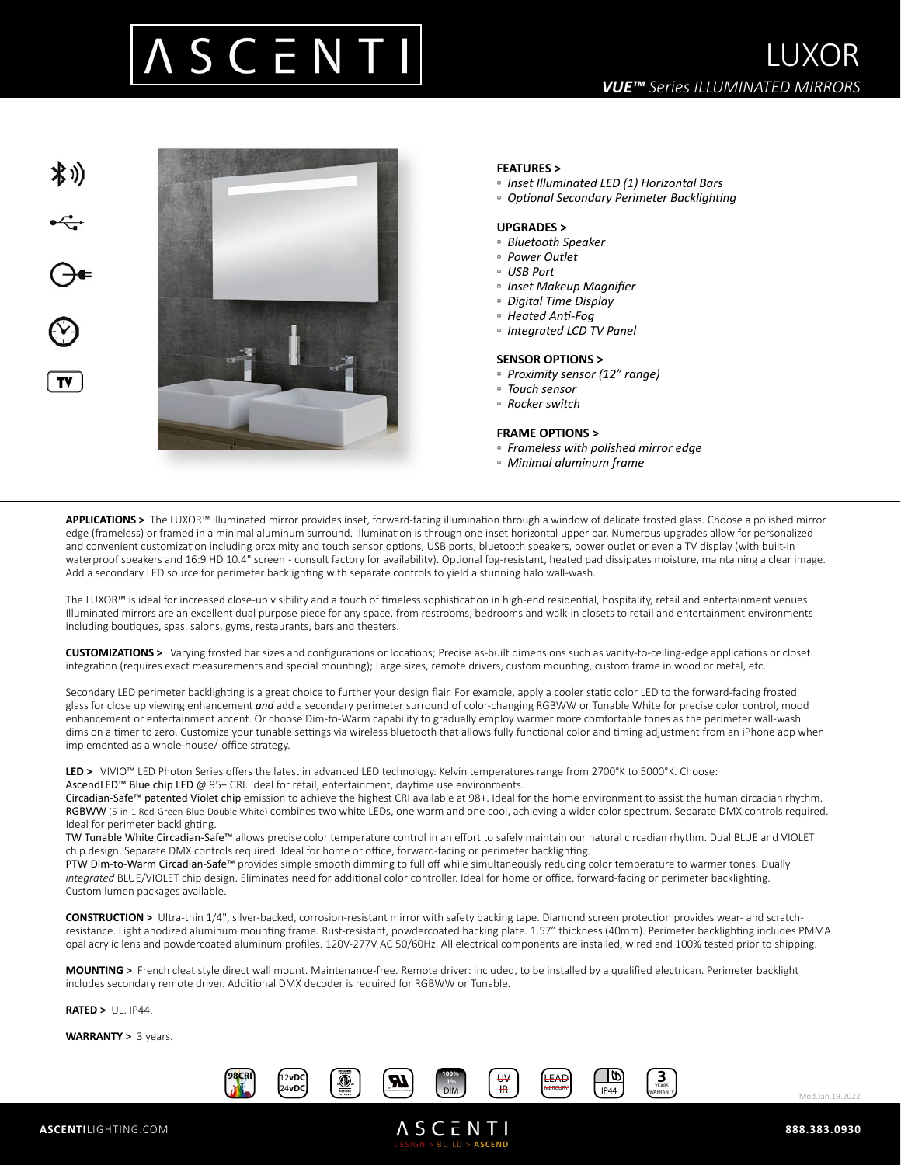



## **FEATURES >**

- *Inset Illuminated LED (1) Horizontal Bars*
- *Optional Secondary Perimeter Backlighting*

### **UPGRADES >**

- *Bluetooth Speaker*
- *Power Outlet*
- *USB Port*
- *Inset Makeup Magnifier*
- *Digital Time Display*
- *Heated Anti-Fog*
- *Integrated LCD TV Panel*

#### **SENSOR OPTIONS >**

- *Proximity sensor (12" range)*
- *Touch sensor*
- *Rocker switch*

#### **FRAME OPTIONS >**

- *Frameless with polished mirror edge*
- *Minimal aluminum frame*

**APPLICATIONS >** The LUXOR™ illuminated mirror provides inset, forward-facing illumination through a window of delicate frosted glass. Choose a polished mirror edge (frameless) or framed in a minimal aluminum surround. Illumination is through one inset horizontal upper bar. Numerous upgrades allow for personalized and convenient customization including proximity and touch sensor options, USB ports, bluetooth speakers, power outlet or even a TV display (with built-in waterproof speakers and 16:9 HD 10.4" screen - consult factory for availability). Optional fog-resistant, heated pad dissipates moisture, maintaining a clear image. Add a secondary LED source for perimeter backlighting with separate controls to yield a stunning halo wall-wash.

The LUXOR™ is ideal for increased close-up visibility and a touch of timeless sophistication in high-end residential, hospitality, retail and entertainment venues. Illuminated mirrors are an excellent dual purpose piece for any space, from restrooms, bedrooms and walk-in closets to retail and entertainment environments including boutiques, spas, salons, gyms, restaurants, bars and theaters.

**CUSTOMIZATIONS >** Varying frosted bar sizes and configurations or locations; Precise as-built dimensions such as vanity-to-ceiling-edge applications or closet integration (requires exact measurements and special mounting); Large sizes, remote drivers, custom mounting, custom frame in wood or metal, etc.

Secondary LED perimeter backlighting is a great choice to further your design flair. For example, apply a cooler static color LED to the forward-facing frosted glass for close up viewing enhancement *and* add a secondary perimeter surround of color-changing RGBWW or Tunable White for precise color control, mood enhancement or entertainment accent. Or choose Dim-to-Warm capability to gradually employ warmer more comfortable tones as the perimeter wall-wash dims on a timer to zero. Customize your tunable settings via wireless bluetooth that allows fully functional color and timing adjustment from an iPhone app when implemented as a whole-house/-office strategy.

**LED >** VIVIO™ LED Photon Series offers the latest in advanced LED technology. Kelvin temperatures range from 2700°K to 5000°K. Choose: AscendLED™ Blue chip LED @ 95+ CRI. Ideal for retail, entertainment, daytime use environments.

Circadian-Safe™ patented Violet chip emission to achieve the highest CRI available at 98+. Ideal for the home environment to assist the human circadian rhythm. RGBWW (5-in-1 Red-Green-Blue-Double White) combines two white LEDs, one warm and one cool, achieving a wider color spectrum. Separate DMX controls required. Ideal for perimeter backlighting.

TW Tunable White Circadian-Safe™ allows precise color temperature control in an effort to safely maintain our natural circadian rhythm. Dual BLUE and VIOLET chip design. Separate DMX controls required. Ideal for home or office, forward-facing or perimeter backlighting.

PTW Dim-to-Warm Circadian-Safe™ provides simple smooth dimming to full off while simultaneously reducing color temperature to warmer tones. Dually *integrated* BLUE/VIOLET chip design. Eliminates need for additional color controller. Ideal for home or office, forward-facing or perimeter backlighting. Custom lumen packages available.

**CONSTRUCTION >** Ultra-thin 1/4", silver-backed, corrosion-resistant mirror with safety backing tape. Diamond screen protection provides wear- and scratchresistance. Light anodized aluminum mounting frame. Rust-resistant, powdercoated backing plate. 1.57" thickness (40mm). Perimeter backlighting includes PMMA opal acrylic lens and powdercoated aluminum profiles. 120V-277V AC 50/60Hz. All electrical components are installed, wired and 100% tested prior to shipping.

**MOUNTING >** French cleat style direct wall mount. Maintenance-free. Remote driver: included, to be installed by a qualified electrican. Perimeter backlight includes secondary remote driver. Additional DMX decoder is required for RGBWW or Tunable.

**RATED >** UL. IP44.

**WARRANTY >** 3 years.



DESIGN > BUILD > **ASCEND**



Mod.Jan.19.2022